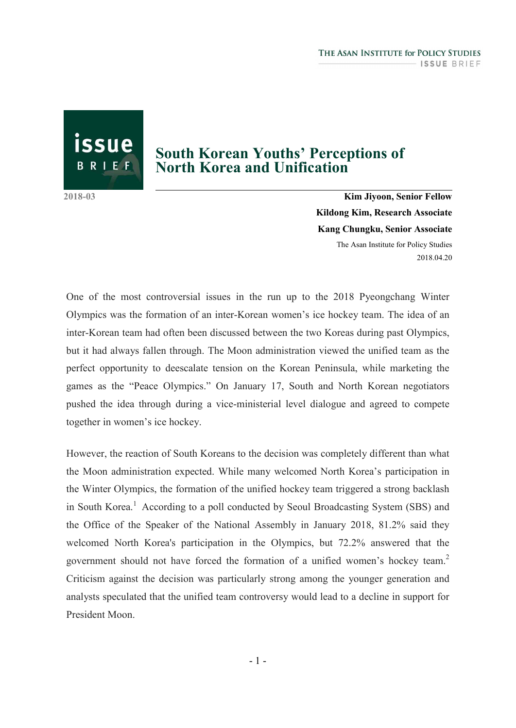issue BRIEF

# **South Korean Youths' Perceptions of North Korea and Unification**

**2018-03 Kim Jiyoon, Senior Fellow Kildong Kim, Research Associate Kang Chungku, Senior Associate** The Asan Institute for Policy Studies 2018.04.20

One of the most controversial issues in the run up to the 2018 Pyeongchang Winter Olympics was the formation of an inter-Korean women's ice hockey team. The idea of an inter-Korean team had often been discussed between the two Koreas during past Olympics, but it had always fallen through. The Moon administration viewed the unified team as the perfect opportunity to deescalate tension on the Korean Peninsula, while marketing the games as the "Peace Olympics." On January 17, South and North Korean negotiators pushed the idea through during a vice-ministerial level dialogue and agreed to compete together in women's ice hockey.

However, the reaction of South Koreans to the decision was completely different than what the Moon administration expected. While many welcomed North Korea's participation in the Winter Olympics, the formation of the unified hockey team triggered a strong backlash in South Korea.<sup>1</sup> According to a poll conducted by Seoul Broadcasting System (SBS) and the Office of the Speaker of the National Assembly in January 2018, 81.2% said they welcomed North Korea's participation in the Olympics, but 72.2% answered that the government should not have forced the formation of a unified women's hockey team.<sup>2</sup> Criticism against the decision was particularly strong among the younger generation and analysts speculated that the unified team controversy would lead to a decline in support for President Moon.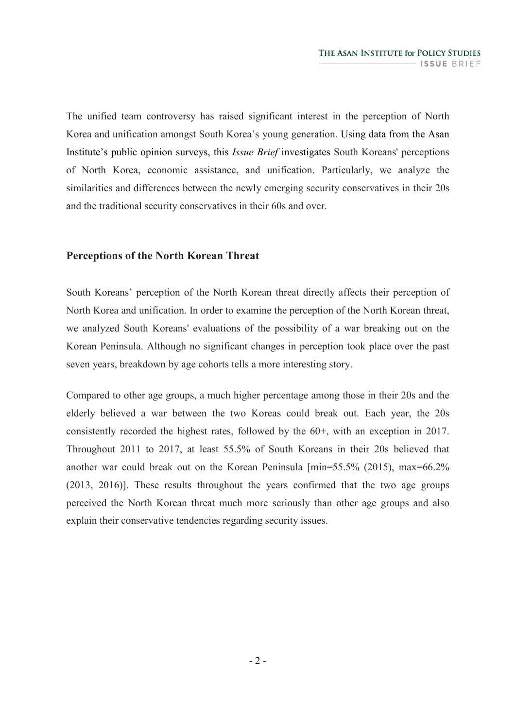The unified team controversy has raised significant interest in the perception of North Korea and unification amongst South Korea's young generation. Using data from the Asan Institute's public opinion surveys, this *Issue Brief* investigates South Koreans' perceptions of North Korea, economic assistance, and unification. Particularly, we analyze the similarities and differences between the newly emerging security conservatives in their 20s and the traditional security conservatives in their 60s and over.

### **Perceptions of the North Korean Threat**

South Koreans' perception of the North Korean threat directly affects their perception of North Korea and unification. In order to examine the perception of the North Korean threat, we analyzed South Koreans' evaluations of the possibility of a war breaking out on the Korean Peninsula. Although no significant changes in perception took place over the past seven years, breakdown by age cohorts tells a more interesting story.

Compared to other age groups, a much higher percentage among those in their 20s and the elderly believed a war between the two Koreas could break out. Each year, the 20s consistently recorded the highest rates, followed by the 60+, with an exception in 2017. Throughout 2011 to 2017, at least 55.5% of South Koreans in their 20s believed that another war could break out on the Korean Peninsula [min=55.5% (2015), max=66.2% (2013, 2016)]. These results throughout the years confirmed that the two age groups perceived the North Korean threat much more seriously than other age groups and also explain their conservative tendencies regarding security issues.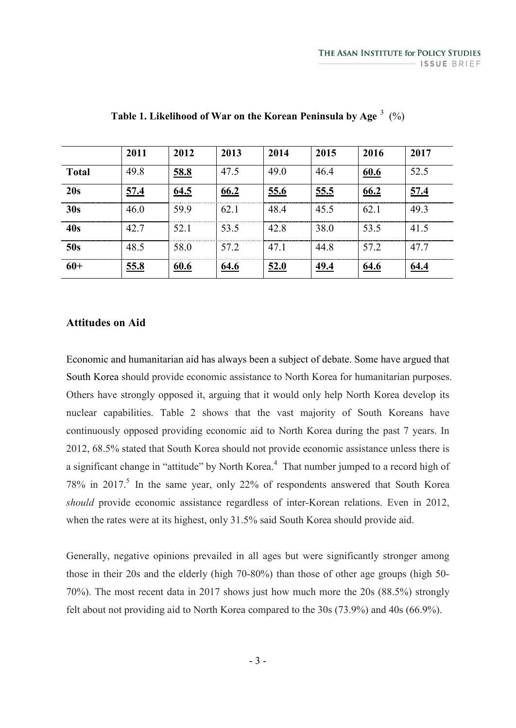|              | 2011 | 2012        | 2013        | 2014        | 2015        | 2016        | 2017        |
|--------------|------|-------------|-------------|-------------|-------------|-------------|-------------|
| <b>Total</b> | 49.8 | 58.8        | 47.5        | 49.0        | 46.4        | 60.6        | 52.5        |
| 20s          | 57.4 | 64.5        | 66.2        | 55.6        | 55.5        | 66.2        | 57.4        |
| 30s          | 46.0 | 59.9        | 62.1        | 48.4        | 45.5        | 62.1        | 49.3        |
| 40s          | 42.7 | 52.1        | 53.5        | 42.8        | 38.0        | 53.5        | 41.5        |
| 50s          | 48.5 | 58.0        | 57.2        | 47.1        | 44.8        | 57.2        | 47.7        |
| $60+$        | 55.8 | <u>60.6</u> | <u>64.6</u> | <u>52.0</u> | <u>49.4</u> | <u>64.6</u> | <u>64.4</u> |

**Table 1. Likelihood of War on the Korean Peninsula by Age** <sup>3</sup> (%)

#### **Attitudes on Aid**

Economic and humanitarian aid has always been a subject of debate. Some have argued that South Korea should provide economic assistance to North Korea for humanitarian purposes. Others have strongly opposed it, arguing that it would only help North Korea develop its nuclear capabilities. Table 2 shows that the vast majority of South Koreans have continuously opposed providing economic aid to North Korea during the past 7 years. In 2012, 68.5% stated that South Korea should not provide economic assistance unless there is a significant change in "attitude" by North Korea.<sup>4</sup> That number jumped to a record high of 78% in 2017.<sup>5</sup> In the same year, only 22% of respondents answered that South Korea *should* provide economic assistance regardless of inter-Korean relations. Even in 2012, when the rates were at its highest, only 31.5% said South Korea should provide aid.

Generally, negative opinions prevailed in all ages but were significantly stronger among those in their 20s and the elderly (high 70-80%) than those of other age groups (high 50- 70%). The most recent data in 2017 shows just how much more the 20s (88.5%) strongly felt about not providing aid to North Korea compared to the 30s (73.9%) and 40s (66.9%).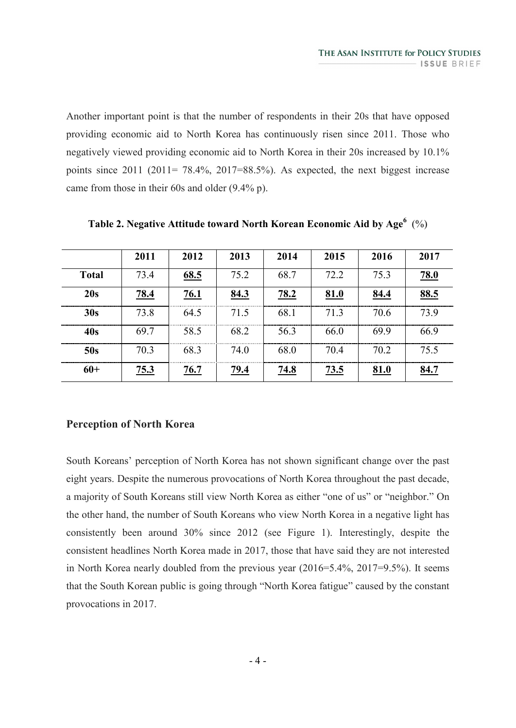Another important point is that the number of respondents in their 20s that have opposed providing economic aid to North Korea has continuously risen since 2011. Those who negatively viewed providing economic aid to North Korea in their 20s increased by 10.1% points since  $2011$  ( $2011 = 78.4\%$ ,  $2017=88.5\%$ ). As expected, the next biggest increase came from those in their 60s and older (9.4% p).

|              | 2011 | 2012 | 2013        | 2014        | 2015 | 2016 | 2017 |
|--------------|------|------|-------------|-------------|------|------|------|
| <b>Total</b> | 73.4 | 68.5 | 75.2        | 68.7        | 72.2 | 75.3 | 78.0 |
| 20s          | 78.4 | 76.1 | 84.3        | 78.2        | 81.0 | 84.4 | 88.5 |
| 30s          | 73.8 | 64.5 | 71.5        | 68.1        | 71.3 | 70.6 | 73.9 |
| 40s          | 69.7 | 58.5 | 68.2        | 56.3        | 66.0 | 69.9 | 66.9 |
| 50s          | 70.3 | 68.3 | 74.0        | 68.0        | 70.4 | 70.2 | 75.5 |
| $60+$        | 75.3 | 76.7 | <u>79.4</u> | <u>74.8</u> | 73.5 | 81.0 | 84.7 |

**Table 2. Negative Attitude toward North Korean Economic Aid by Age<sup>6</sup>** (%)

### **Perception of North Korea**

South Koreans' perception of North Korea has not shown significant change over the past eight years. Despite the numerous provocations of North Korea throughout the past decade, a majority of South Koreans still view North Korea as either "one of us" or "neighbor." On the other hand, the number of South Koreans who view North Korea in a negative light has consistently been around 30% since 2012 (see Figure 1). Interestingly, despite the consistent headlines North Korea made in 2017, those that have said they are not interested in North Korea nearly doubled from the previous year (2016=5.4%, 2017=9.5%). It seems that the South Korean public is going through "North Korea fatigue" caused by the constant provocations in 2017.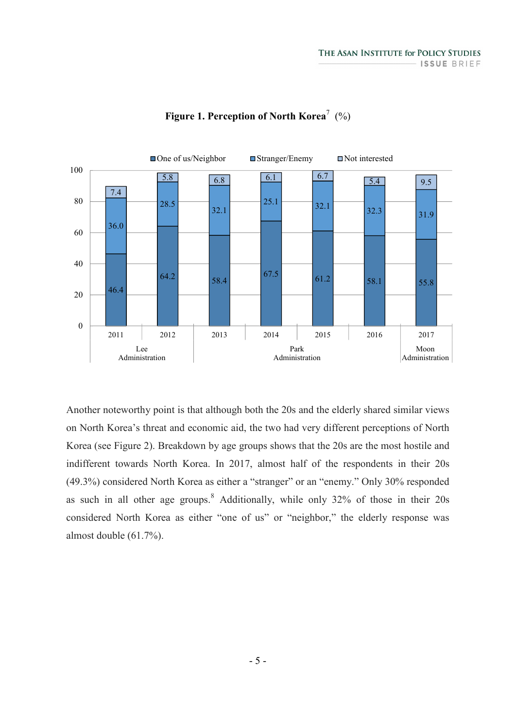

### **Figure 1. Perception of North Korea**<sup>7</sup> (%)

Another noteworthy point is that although both the 20s and the elderly shared similar views on North Korea's threat and economic aid, the two had very different perceptions of North Korea (see Figure 2). Breakdown by age groups shows that the 20s are the most hostile and indifferent towards North Korea. In 2017, almost half of the respondents in their 20s (49.3%) considered North Korea as either a "stranger" or an "enemy." Only 30% responded as such in all other age groups.<sup>8</sup> Additionally, while only 32% of those in their 20s considered North Korea as either "one of us" or "neighbor," the elderly response was almost double (61.7%).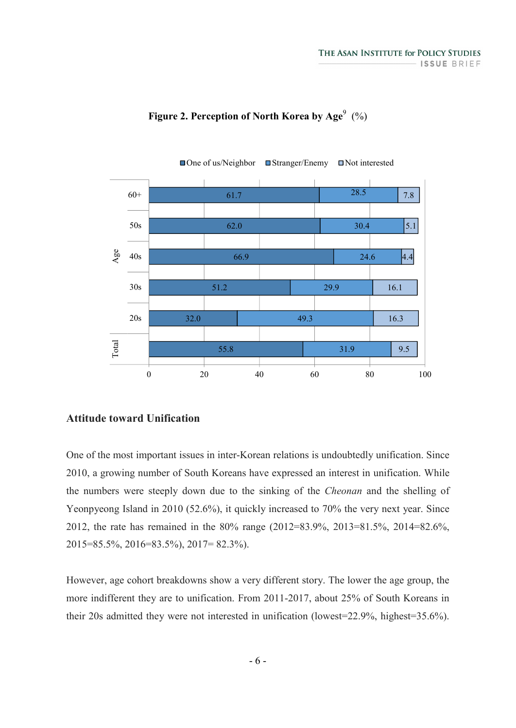

# **Figure 2. Perception of North Korea by Age**<sup>9</sup> (%)

#### **Attitude toward Unification**

One of the most important issues in inter-Korean relations is undoubtedly unification. Since 2010, a growing number of South Koreans have expressed an interest in unification. While the numbers were steeply down due to the sinking of the *Cheonan* and the shelling of Yeonpyeong Island in 2010 (52.6%), it quickly increased to 70% the very next year. Since 2012, the rate has remained in the 80% range (2012=83.9%, 2013=81.5%, 2014=82.6%, 2015=85.5%, 2016=83.5%), 2017= 82.3%).

However, age cohort breakdowns show a very different story. The lower the age group, the more indifferent they are to unification. From 2011-2017, about 25% of South Koreans in their 20s admitted they were not interested in unification (lowest=22.9%, highest=35.6%).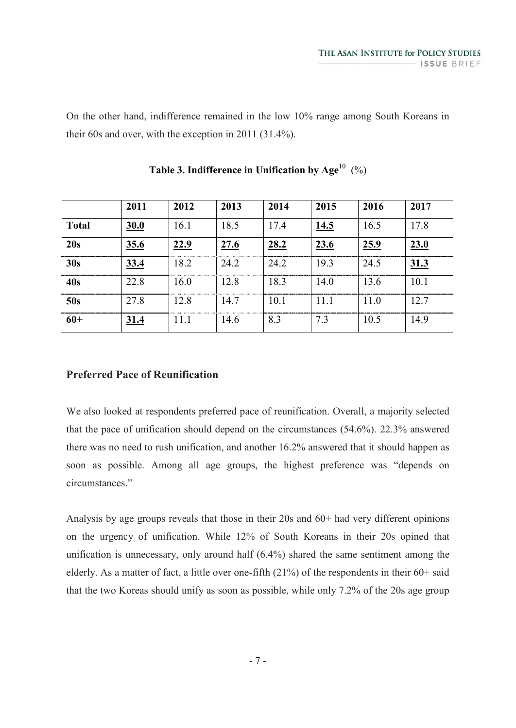On the other hand, indifference remained in the low 10% range among South Koreans in their 60s and over, with the exception in 2011 (31.4%).

|                 | 2011 | 2012 | 2013 | 2014 | 2015 | 2016 | 2017                                       |
|-----------------|------|------|------|------|------|------|--------------------------------------------|
| <b>Total</b>    | 30.0 | 16.1 | 18.5 | 17.4 | 14.5 | 16.5 | 17.8                                       |
| 20s             | 35.6 | 22.9 | 27.6 | 28.2 | 23.6 | 25.9 | 23.0                                       |
| 30s             | 33.4 | 18.2 | 24.2 | 24.2 | 19.3 | 24.5 | ---------------------------<br><u>31.3</u> |
| 40s             | 22.8 | 16.0 | 12.8 | 18.3 | 14.0 | 13.6 | 10.1                                       |
| 50s             | 27.8 | 12.8 | 14.7 | 10.1 | 11 1 | 11.0 | 127                                        |
| $\frac{1}{60+}$ | 31.4 | 111  | 14.6 | 8.3  | 7.3  | 10.5 | 14.9                                       |

| Table 3. Indifference in Unification by Age <sup>10</sup> (%) |  |  |
|---------------------------------------------------------------|--|--|
|---------------------------------------------------------------|--|--|

# **Preferred Pace of Reunification**

We also looked at respondents preferred pace of reunification. Overall, a majority selected that the pace of unification should depend on the circumstances (54.6%). 22.3% answered there was no need to rush unification, and another 16.2% answered that it should happen as soon as possible. Among all age groups, the highest preference was "depends on circumstances."

Analysis by age groups reveals that those in their 20s and 60+ had very different opinions on the urgency of unification. While 12% of South Koreans in their 20s opined that unification is unnecessary, only around half (6.4%) shared the same sentiment among the elderly. As a matter of fact, a little over one-fifth (21%) of the respondents in their 60+ said that the two Koreas should unify as soon as possible, while only 7.2% of the 20s age group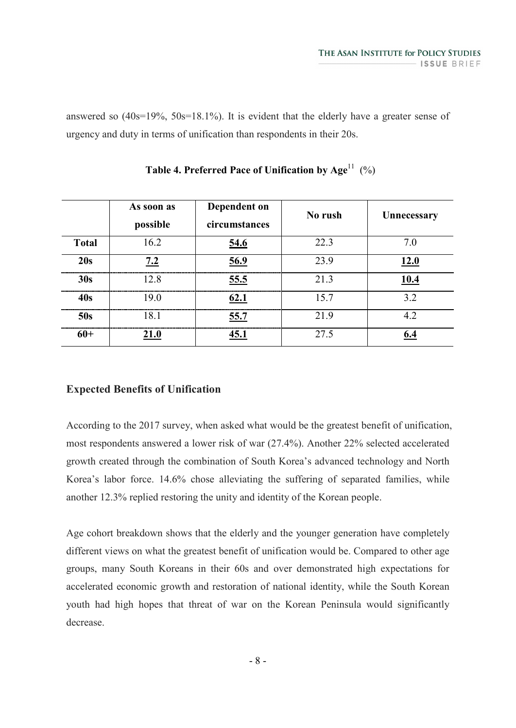answered so (40s=19%, 50s=18.1%). It is evident that the elderly have a greater sense of urgency and duty in terms of unification than respondents in their 20s.

|              | As soon as<br>possible | Dependent on<br>circumstances | No rush | Unnecessary                       |
|--------------|------------------------|-------------------------------|---------|-----------------------------------|
| <b>Total</b> | 16.2                   | 54.6                          | 22.3    | 7.0                               |
| 20s          | 7.2                    | 56.9                          | 23.9    | 12.0                              |
| 30s          | 12.8                   | 55.5                          | 21.3    | 10.4                              |
| <b>40s</b>   | 19.0                   | 62.1                          | 15.7    | --------------------------<br>3.2 |
| 50s          | 18.1                   | 55.7                          | 21.9    | 4.2                               |
| $60+$        |                        |                               | 27.5    |                                   |

**Table 4. Preferred Pace of Unification by Age<sup>11</sup> (%)** 

# **Expected Benefits of Unification**

According to the 2017 survey, when asked what would be the greatest benefit of unification, most respondents answered a lower risk of war (27.4%). Another 22% selected accelerated growth created through the combination of South Korea's advanced technology and North Korea's labor force. 14.6% chose alleviating the suffering of separated families, while another 12.3% replied restoring the unity and identity of the Korean people.

Age cohort breakdown shows that the elderly and the younger generation have completely different views on what the greatest benefit of unification would be. Compared to other age groups, many South Koreans in their 60s and over demonstrated high expectations for accelerated economic growth and restoration of national identity, while the South Korean youth had high hopes that threat of war on the Korean Peninsula would significantly decrease.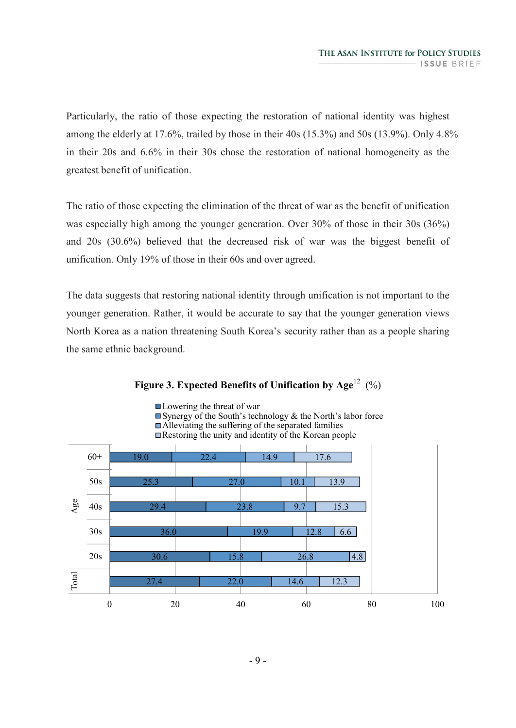Particularly, the ratio of those expecting the restoration of national identity was highest among the elderly at 17.6%, trailed by those in their 40s (15.3%) and 50s (13.9%). Only 4.8% in their 20s and 6.6% in their 30s chose the restoration of national homogeneity as the greatest benefit of unification.

The ratio of those expecting the elimination of the threat of war as the benefit of unification was especially high among the younger generation. Over 30% of those in their 30s (36%) and 20s (30.6%) believed that the decreased risk of war was the biggest benefit of unification. Only 19% of those in their 60s and over agreed.

The data suggests that restoring national identity through unification is not important to the younger generation. Rather, it would be accurate to say that the younger generation views North Korea as a nation threatening South Korea's security rather than as a people sharing the same ethnic background.



### **Figure 3. Expected Benefits of Unification by Age<sup>12</sup> (%)**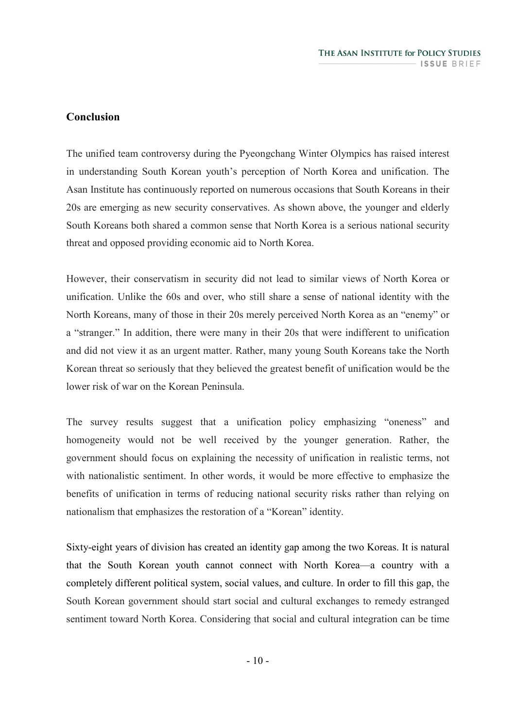### **Conclusion**

The unified team controversy during the Pyeongchang Winter Olympics has raised interest in understanding South Korean youth's perception of North Korea and unification. The Asan Institute has continuously reported on numerous occasions that South Koreans in their 20s are emerging as new security conservatives. As shown above, the younger and elderly South Koreans both shared a common sense that North Korea is a serious national security threat and opposed providing economic aid to North Korea.

However, their conservatism in security did not lead to similar views of North Korea or unification. Unlike the 60s and over, who still share a sense of national identity with the North Koreans, many of those in their 20s merely perceived North Korea as an "enemy" or a "stranger." In addition, there were many in their 20s that were indifferent to unification and did not view it as an urgent matter. Rather, many young South Koreans take the North Korean threat so seriously that they believed the greatest benefit of unification would be the lower risk of war on the Korean Peninsula.

The survey results suggest that a unification policy emphasizing "oneness" and homogeneity would not be well received by the younger generation. Rather, the government should focus on explaining the necessity of unification in realistic terms, not with nationalistic sentiment. In other words, it would be more effective to emphasize the benefits of unification in terms of reducing national security risks rather than relying on nationalism that emphasizes the restoration of a "Korean" identity.

Sixty-eight years of division has created an identity gap among the two Koreas. It is natural that the South Korean youth cannot connect with North Korea—a country with a completely different political system, social values, and culture. In order to fill this gap, the South Korean government should start social and cultural exchanges to remedy estranged sentiment toward North Korea. Considering that social and cultural integration can be time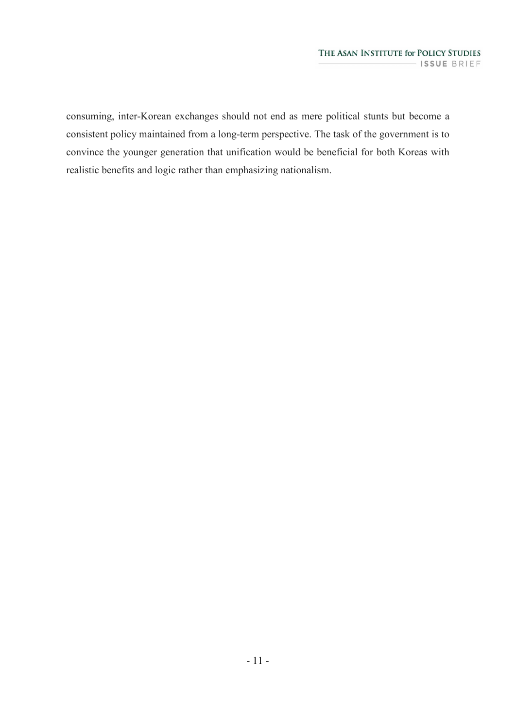consuming, inter-Korean exchanges should not end as mere political stunts but become a consistent policy maintained from a long-term perspective. The task of the government is to convince the younger generation that unification would be beneficial for both Koreas with realistic benefits and logic rather than emphasizing nationalism.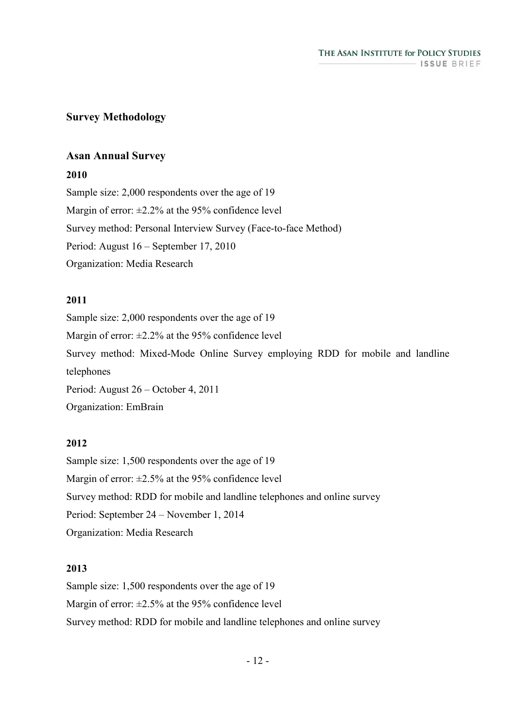### **Survey Methodology**

#### **Asan Annual Survey**

#### **2010**

Sample size: 2,000 respondents over the age of 19 Margin of error:  $\pm 2.2\%$  at the 95% confidence level Survey method: Personal Interview Survey (Face-to-face Method) Period: August 16 – September 17, 2010 Organization: Media Research

#### **2011**

Sample size: 2,000 respondents over the age of 19 Margin of error:  $\pm 2.2\%$  at the 95% confidence level Survey method: Mixed-Mode Online Survey employing RDD for mobile and landline telephones Period: August 26 – October 4, 2011 Organization: EmBrain

#### **2012**

Sample size: 1,500 respondents over the age of 19 Margin of error:  $\pm 2.5\%$  at the 95% confidence level Survey method: RDD for mobile and landline telephones and online survey Period: September 24 – November 1, 2014 Organization: Media Research

#### **2013**

Sample size: 1,500 respondents over the age of 19 Margin of error:  $\pm 2.5\%$  at the 95% confidence level Survey method: RDD for mobile and landline telephones and online survey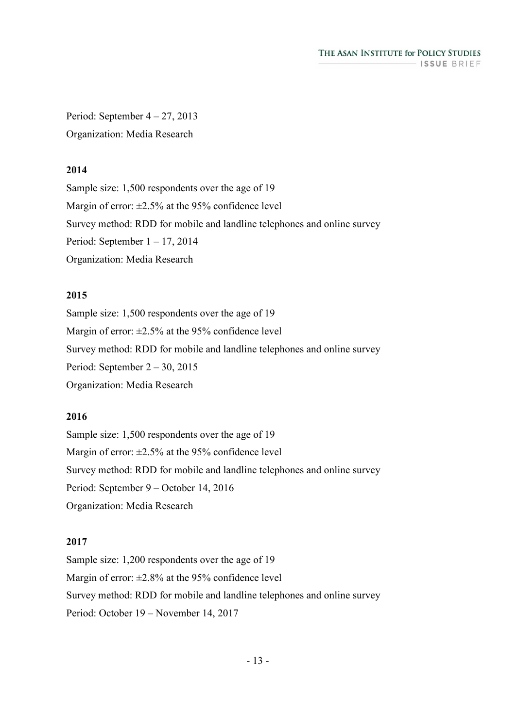Period: September  $4 - 27$ , 2013 Organization: Media Research

#### **2014**

Sample size: 1,500 respondents over the age of 19 Margin of error:  $\pm 2.5\%$  at the 95% confidence level Survey method: RDD for mobile and landline telephones and online survey Period: September  $1 - 17$ , 2014 Organization: Media Research

### **2015**

Sample size: 1,500 respondents over the age of 19 Margin of error:  $\pm 2.5\%$  at the 95% confidence level Survey method: RDD for mobile and landline telephones and online survey Period: September 2 – 30, 2015 Organization: Media Research

### **2016**

Sample size: 1,500 respondents over the age of 19 Margin of error:  $\pm 2.5\%$  at the 95% confidence level Survey method: RDD for mobile and landline telephones and online survey Period: September 9 – October 14, 2016 Organization: Media Research

#### **2017**

Sample size: 1,200 respondents over the age of 19 Margin of error:  $\pm 2.8\%$  at the 95% confidence level Survey method: RDD for mobile and landline telephones and online survey Period: October 19 – November 14, 2017